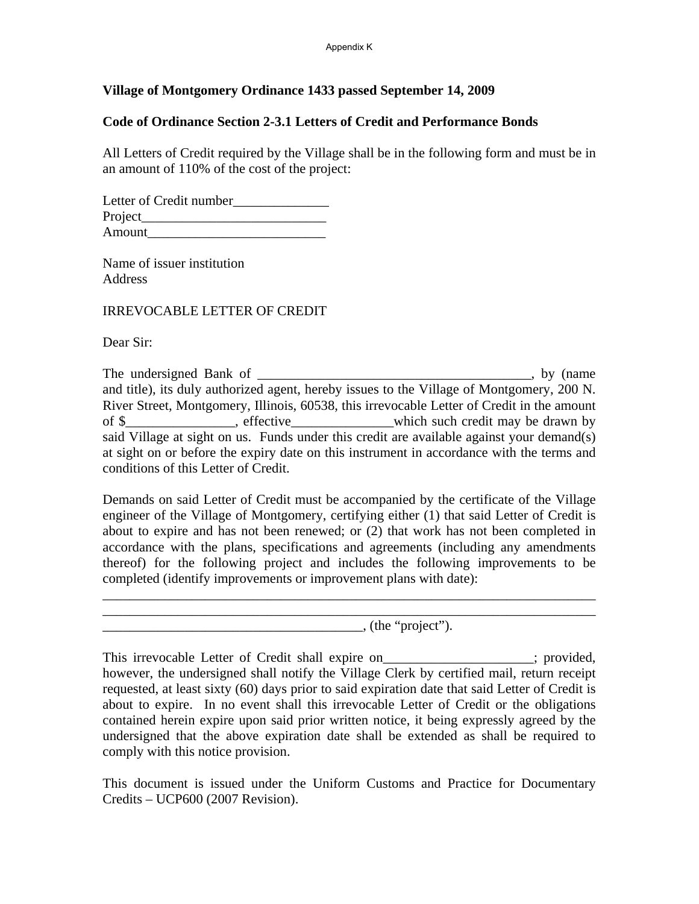## **Village of Montgomery Ordinance 1433 passed September 14, 2009**

## **Code of Ordinance Section 2-3.1 Letters of Credit and Performance Bonds**

All Letters of Credit required by the Village shall be in the following form and must be in an amount of 110% of the cost of the project:

Letter of Credit number Project\_\_\_\_\_\_\_\_\_\_\_\_\_\_\_\_\_\_\_\_\_\_\_\_\_\_\_ Amount

Name of issuer institution Address

IRREVOCABLE LETTER OF CREDIT

Dear Sir:

The undersigned Bank of \_\_\_\_\_\_\_\_\_\_\_\_\_\_\_\_\_\_\_\_\_\_\_\_\_\_\_\_\_\_\_\_\_\_\_\_\_\_\_\_, by (name and title), its duly authorized agent, hereby issues to the Village of Montgomery, 200 N. River Street, Montgomery, Illinois, 60538, this irrevocable Letter of Credit in the amount of \$ effective effective which such credit may be drawn by said Village at sight on us. Funds under this credit are available against your demand(s) at sight on or before the expiry date on this instrument in accordance with the terms and conditions of this Letter of Credit.

Demands on said Letter of Credit must be accompanied by the certificate of the Village engineer of the Village of Montgomery, certifying either (1) that said Letter of Credit is about to expire and has not been renewed; or (2) that work has not been completed in accordance with the plans, specifications and agreements (including any amendments thereof) for the following project and includes the following improvements to be completed (identify improvements or improvement plans with date):

\_\_\_\_\_\_\_\_\_\_\_\_\_\_\_\_\_\_\_\_\_\_\_\_\_\_\_\_\_\_\_\_\_\_\_\_\_\_\_\_\_\_\_\_\_\_\_\_\_\_\_\_\_\_\_\_\_\_\_\_\_\_\_\_\_\_\_\_\_\_\_\_ \_\_\_\_\_\_\_\_\_\_\_\_\_\_\_\_\_\_\_\_\_\_\_\_\_\_\_\_\_\_\_\_\_\_\_\_\_\_\_\_\_\_\_\_\_\_\_\_\_\_\_\_\_\_\_\_\_\_\_\_\_\_\_\_\_\_\_\_\_\_\_\_

 $\blacksquare$ , (the "project").

This irrevocable Letter of Credit shall expire on\_\_\_\_\_\_\_\_\_\_\_\_\_\_\_\_; provided, however, the undersigned shall notify the Village Clerk by certified mail, return receipt requested, at least sixty (60) days prior to said expiration date that said Letter of Credit is about to expire. In no event shall this irrevocable Letter of Credit or the obligations contained herein expire upon said prior written notice, it being expressly agreed by the undersigned that the above expiration date shall be extended as shall be required to comply with this notice provision.

This document is issued under the Uniform Customs and Practice for Documentary Credits – UCP600 (2007 Revision).